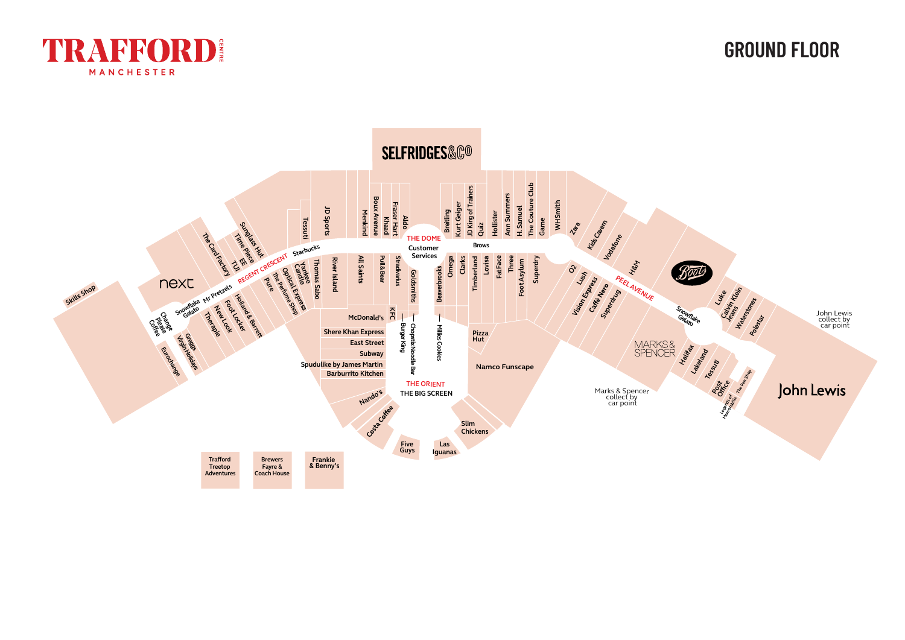

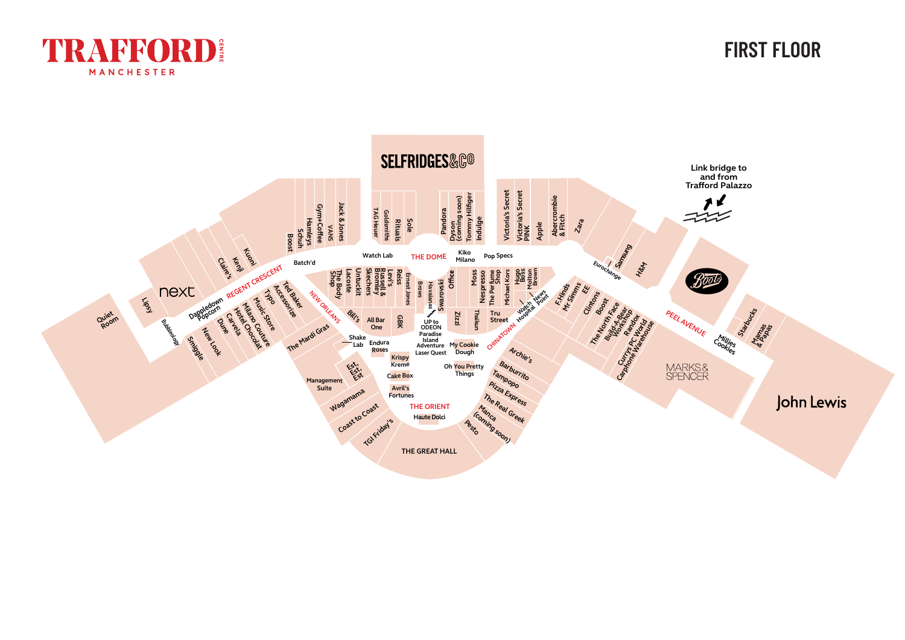



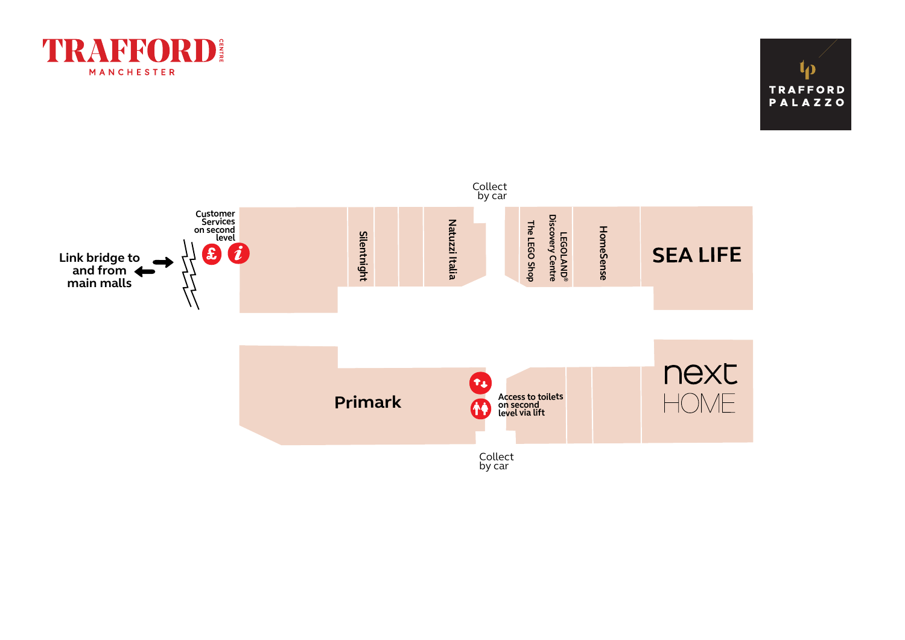